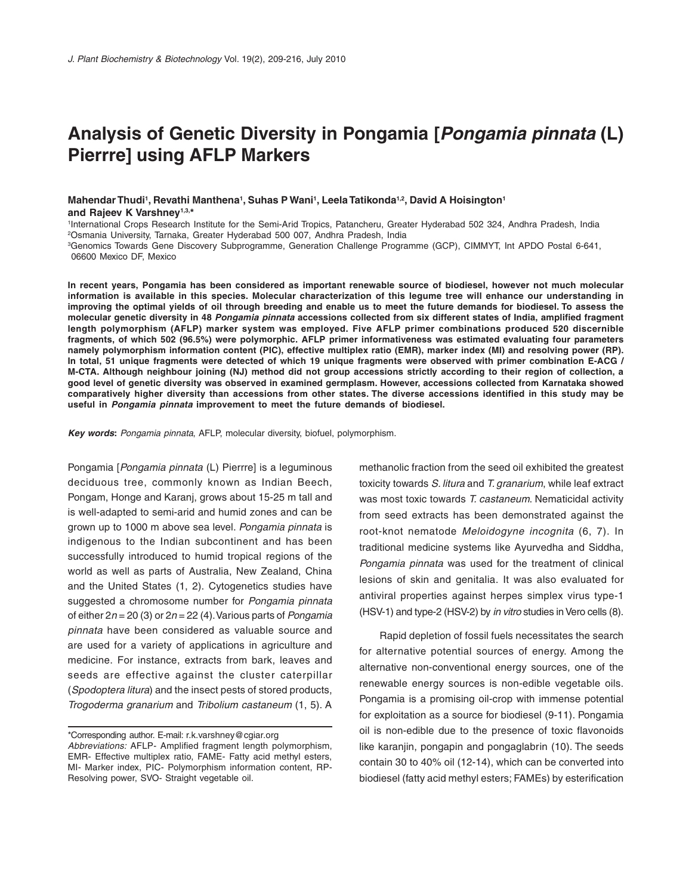# **Analysis of Genetic Diversity in Pongamia [***Pongamia pinnata* **(L) Pierrre] using AFLP Markers**

#### Mahendar Thudi<sup>1</sup>, Revathi Manthena<sup>1</sup>, Suhas P Wani<sup>1</sup>, Leela Tatikonda<sup>1,2</sup>, David A Hoisington<sup>1</sup> **and Rajeev K Varshney1,3,\***

1International Crops Research Institute for the Semi-Arid Tropics, Patancheru, Greater Hyderabad 502 324, Andhra Pradesh, India 2Osmania University, Tarnaka, Greater Hyderabad 500 007, Andhra Pradesh, India

3 Genomics Towards Gene Discovery Subprogramme, Generation Challenge Programme (GCP), CIMMYT, Int APDO Postal 6-641, 06600 Mexico DF, Mexico

**In recent years, Pongamia has been considered as important renewable source of biodiesel, however not much molecular information is available in this species. Molecular characterization of this legume tree will enhance our understanding in improving the optimal yields of oil through breeding and enable us to meet the future demands for biodiesel. To assess the molecular genetic diversity in 48** *Pongamia pinnata* **accessions collected from six different states of India, amplified fragment length polymorphism (AFLP) marker system was employed. Five AFLP primer combinations produced 520 discernible fragments, of which 502 (96.5%) were polymorphic. AFLP primer informativeness was estimated evaluating four parameters namely polymorphism information content (PIC), effective multiplex ratio (EMR), marker index (MI) and resolving power (RP). In total, 51 unique fragments were detected of which 19 unique fragments were observed with primer combination E-ACG / M-CTA. Although neighbour joining (NJ) method did not group accessions strictly according to their region of collection, a good level of genetic diversity was observed in examined germplasm. However, accessions collected from Karnataka showed comparatively higher diversity than accessions from other states. The diverse accessions identified in this study may be useful in** *Pongamia pinnata* **improvement to meet the future demands of biodiesel.**

*Key words***:** Pongamia pinnata, AFLP, molecular diversity, biofuel, polymorphism.

Pongamia [Pongamia pinnata (L) Pierrre] is a leguminous deciduous tree, commonly known as Indian Beech, Pongam, Honge and Karanj, grows about 15-25 m tall and is well-adapted to semi-arid and humid zones and can be grown up to 1000 m above sea level. Pongamia pinnata is indigenous to the Indian subcontinent and has been successfully introduced to humid tropical regions of the world as well as parts of Australia, New Zealand, China and the United States (1, 2). Cytogenetics studies have suggested a chromosome number for Pongamia pinnata of either  $2n = 20$  (3) or  $2n = 22$  (4). Various parts of *Pongamia* pinnata have been considered as valuable source and are used for a variety of applications in agriculture and medicine. For instance, extracts from bark, leaves and seeds are effective against the cluster caterpillar (Spodoptera litura) and the insect pests of stored products, Trogoderma granarium and Tribolium castaneum (1, 5). A methanolic fraction from the seed oil exhibited the greatest toxicity towards S. litura and T. granarium, while leaf extract was most toxic towards T. castaneum. Nematicidal activity from seed extracts has been demonstrated against the root-knot nematode Meloidogyne incognita (6, 7). In traditional medicine systems like Ayurvedha and Siddha, Pongamia pinnata was used for the treatment of clinical lesions of skin and genitalia. It was also evaluated for antiviral properties against herpes simplex virus type-1 (HSV-1) and type-2 (HSV-2) by in vitro studies in Vero cells (8).

Rapid depletion of fossil fuels necessitates the search for alternative potential sources of energy. Among the alternative non-conventional energy sources, one of the renewable energy sources is non-edible vegetable oils. Pongamia is a promising oil-crop with immense potential for exploitation as a source for biodiesel (9-11). Pongamia oil is non-edible due to the presence of toxic flavonoids like karanjin, pongapin and pongaglabrin (10). The seeds contain 30 to 40% oil (12-14), which can be converted into biodiesel (fatty acid methyl esters; FAMEs) by esterification

<sup>\*</sup>Corresponding author. E-mail: r.k.varshney@cgiar.org

Abbreviations: AFLP- Amplified fragment length polymorphism, EMR- Effective multiplex ratio, FAME- Fatty acid methyl esters, MI- Marker index, PIC- Polymorphism information content, RP-Resolving power, SVO- Straight vegetable oil.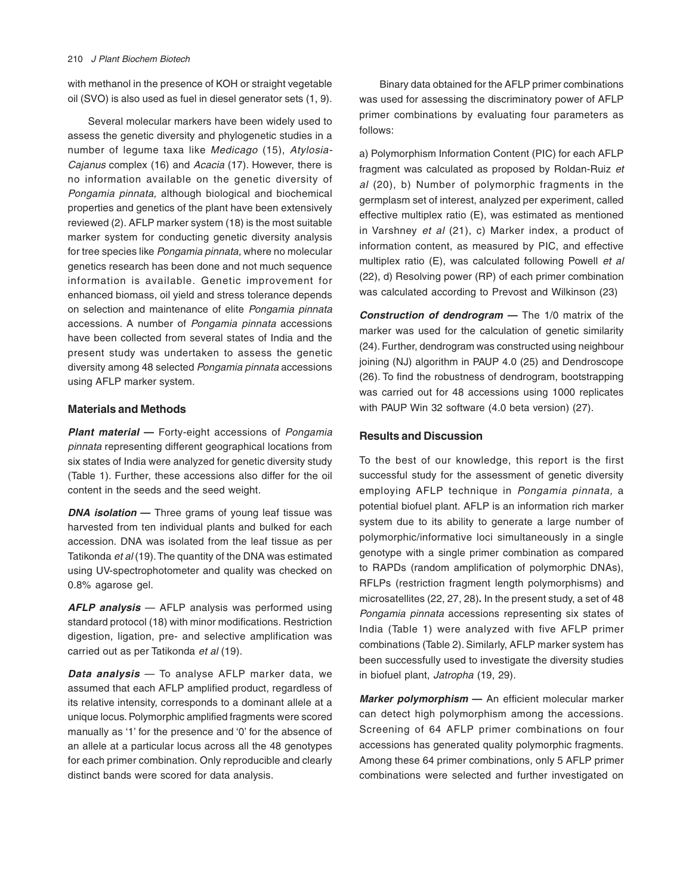with methanol in the presence of KOH or straight vegetable oil (SVO) is also used as fuel in diesel generator sets (1, 9).

Several molecular markers have been widely used to assess the genetic diversity and phylogenetic studies in a number of legume taxa like Medicago (15), Atylosia-Cajanus complex (16) and Acacia (17). However, there is no information available on the genetic diversity of Pongamia pinnata, although biological and biochemical properties and genetics of the plant have been extensively reviewed (2). AFLP marker system (18) is the most suitable marker system for conducting genetic diversity analysis for tree species like Pongamia pinnata, where no molecular genetics research has been done and not much sequence information is available. Genetic improvement for enhanced biomass, oil yield and stress tolerance depends on selection and maintenance of elite Pongamia pinnata accessions. A number of Pongamia pinnata accessions have been collected from several states of India and the present study was undertaken to assess the genetic diversity among 48 selected Pongamia pinnata accessions using AFLP marker system.

# **Materials and Methods**

*Plant material* **—** Forty-eight accessions of Pongamia pinnata representing different geographical locations from six states of India were analyzed for genetic diversity study (Table 1). Further, these accessions also differ for the oil content in the seeds and the seed weight.

*DNA isolation* — Three grams of young leaf tissue was harvested from ten individual plants and bulked for each accession. DNA was isolated from the leaf tissue as per Tatikonda et al (19). The quantity of the DNA was estimated using UV-spectrophotometer and quality was checked on 0.8% agarose gel.

*AFLP analysis* — AFLP analysis was performed using standard protocol (18) with minor modifications. Restriction digestion, ligation, pre- and selective amplification was carried out as per Tatikonda et al (19).

*Data analysis* — To analyse AFLP marker data, we assumed that each AFLP amplified product, regardless of its relative intensity, corresponds to a dominant allele at a unique locus. Polymorphic amplified fragments were scored manually as '1' for the presence and '0' for the absence of an allele at a particular locus across all the 48 genotypes for each primer combination. Only reproducible and clearly distinct bands were scored for data analysis.

Binary data obtained for the AFLP primer combinations was used for assessing the discriminatory power of AFLP primer combinations by evaluating four parameters as follows:

a) Polymorphism Information Content (PIC) for each AFLP fragment was calculated as proposed by Roldan-Ruiz et al (20), b) Number of polymorphic fragments in the germplasm set of interest, analyzed per experiment, called effective multiplex ratio (E), was estimated as mentioned in Varshney et al (21), c) Marker index, a product of information content, as measured by PIC, and effective multiplex ratio (E), was calculated following Powell et al (22), d) Resolving power (RP) of each primer combination was calculated according to Prevost and Wilkinson (23)

*Construction of dendrogram* — The 1/0 matrix of the marker was used for the calculation of genetic similarity (24). Further, dendrogram was constructed using neighbour joining (NJ) algorithm in PAUP 4.0 (25) and Dendroscope (26). To find the robustness of dendrogram, bootstrapping was carried out for 48 accessions using 1000 replicates with PAUP Win 32 software (4.0 beta version) (27).

### **Results and Discussion**

To the best of our knowledge, this report is the first successful study for the assessment of genetic diversity employing AFLP technique in Pongamia pinnata, a potential biofuel plant. AFLP is an information rich marker system due to its ability to generate a large number of polymorphic/informative loci simultaneously in a single genotype with a single primer combination as compared to RAPDs (random amplification of polymorphic DNAs), RFLPs (restriction fragment length polymorphisms) and microsatellites (22, 27, 28)**.** In the present study, a set of 48 Pongamia pinnata accessions representing six states of India (Table 1) were analyzed with five AFLP primer combinations (Table 2). Similarly, AFLP marker system has been successfully used to investigate the diversity studies in biofuel plant, Jatropha (19, 29).

*Marker polymorphism* **—** An efficient molecular marker can detect high polymorphism among the accessions. Screening of 64 AFLP primer combinations on four accessions has generated quality polymorphic fragments. Among these 64 primer combinations, only 5 AFLP primer combinations were selected and further investigated on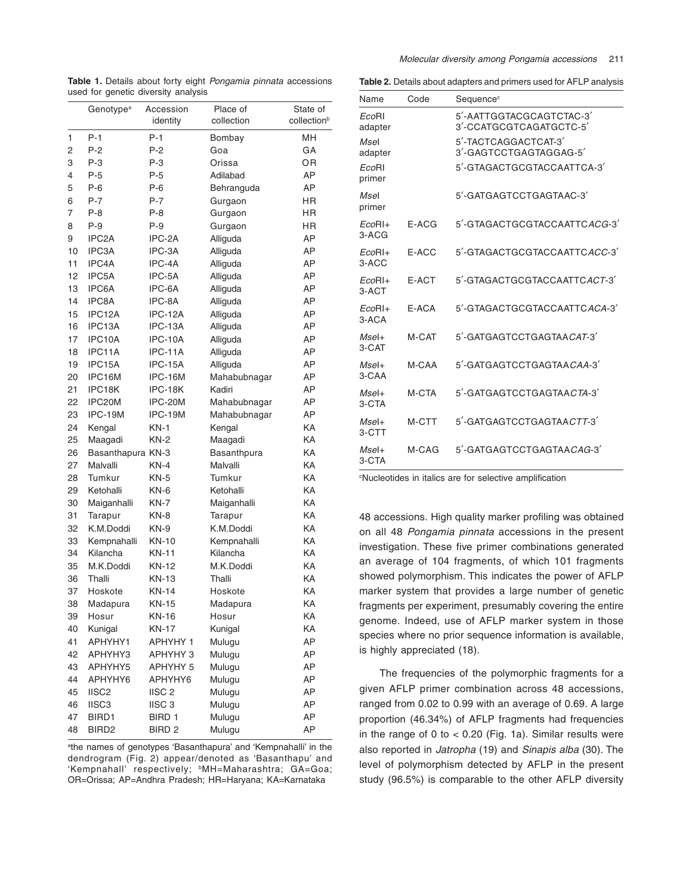**Table 1.** Details about forty eight Pongamia pinnata accessions used for genetic diversity analysis

|    | Genotype <sup>a</sup> | Accession<br>identity | Place of<br>collection | State of<br>collection <sup>b</sup> |  |
|----|-----------------------|-----------------------|------------------------|-------------------------------------|--|
| 1  | $P-1$                 | P-1                   | Bombay                 | MН                                  |  |
| 2  | $P-2$                 | $P-2$                 | Goa                    | GА                                  |  |
| 3  | $P-3$                 | $P-3$                 | Orissa                 | ΟR                                  |  |
| 4  | $P-5$                 | $P-5$                 | Adilabad               | AP                                  |  |
| 5  | P-6                   | $P-6$                 | Behranguda             | AP                                  |  |
| 6  | $P-7$                 | $P-7$                 | Gurgaon                | ΗR                                  |  |
| 7  | $P-8$                 | $P-8$                 | Gurgaon                | ΗR                                  |  |
| 8  | P-9                   | $P-9$                 | Gurgaon                | ΗR                                  |  |
| 9  | IPC <sub>2</sub> A    | IPC-2A                | Alliguda               | AP                                  |  |
| 10 | IPC3A                 | IPC-3A                | Alliguda               | AP                                  |  |
| 11 | IPC4A                 | IPC-4A                | Alliguda               | AΡ                                  |  |
| 12 | IPC5A                 | IPC-5A                | Alliguda               | AΡ                                  |  |
| 13 | IPC6A                 | IPC-6A                | Alliguda               | AP                                  |  |
| 14 | IPC8A                 | IPC-8A                | Alliguda               | AP                                  |  |
| 15 | IPC12A                | IPC-12A               | Alliguda               | AP                                  |  |
| 16 | IPC13A                | IPC-13A               | Alliguda               | AP                                  |  |
| 17 | IPC10A                | IPC-10A               | Alliguda               | AP                                  |  |
| 18 | IPC11A                | IPC-11A               | Alliguda               | AΡ                                  |  |
| 19 | IPC15A                | IPC-15A               | Alliguda               | AP                                  |  |
| 20 | IPC16M                | IPC-16M               | Mahabubnagar           | AΡ                                  |  |
| 21 | IPC18K                | IPC-18K               | Kadiri                 | AP                                  |  |
| 22 | IPC20M                | IPC-20M               | Mahabubnagar           | AP                                  |  |
| 23 | IPC-19M               | IPC-19M               | Mahabubnagar           | AP                                  |  |
| 24 | Kengal                | <b>KN-1</b>           | Kengal                 | KA                                  |  |
| 25 | Maagadi               | KN-2                  | Maagadi                | KA                                  |  |
| 26 | Basanthapura KN-3     |                       | Basanthpura            | KA                                  |  |
| 27 | Malvalli              | $KN-4$                | Malvalli               | KA                                  |  |
| 28 | Tumkur                | KN-5                  | Tumkur                 | KA                                  |  |
| 29 | Ketohalli             | KN-6                  | Ketohalli              | KA                                  |  |
| 30 | Maiganhalli           | <b>KN-7</b>           | Maiganhalli            | KA                                  |  |
| 31 | Tarapur               | KN-8                  | Tarapur                | KA                                  |  |
| 32 | K.M.Doddi             | KN-9                  | K.M.Doddi              | KA                                  |  |
| 33 | Kempnahalli           | <b>KN-10</b>          | Kempnahalli            | KA                                  |  |
| 34 | Kilancha              | KN-11                 | Kilancha               | KA                                  |  |
| 35 | M.K.Doddi             | KN-12                 | M.K.Doddi              | KA                                  |  |
| 36 | Thalli                | KN-13                 | Thalli                 | KA                                  |  |
| 37 | Hoskote               | <b>KN-14</b>          | Hoskote                | KA                                  |  |
| 38 | Madapura              | <b>KN-15</b>          | Madapura               | KA                                  |  |
| 39 | Hosur                 | KN-16                 | Hosur                  | KA                                  |  |
| 40 | Kunigal               | <b>KN-17</b>          | Kunigal                | KA                                  |  |
| 41 | APHYHY1               | <b>APHYHY 1</b>       | Mulugu                 | AP                                  |  |
| 42 | APHYHY3               | APHYHY 3              | Mulugu                 | AΡ                                  |  |
| 43 | APHYHY5               | APHYHY 5              | Mulugu                 | AP                                  |  |
| 44 | APHYHY6               | APHYHY6               | Mulugu                 | AP                                  |  |
| 45 | IISC <sub>2</sub>     | IISC <sub>2</sub>     | Mulugu                 | AP                                  |  |
| 46 | IISC <sub>3</sub>     | IISC <sub>3</sub>     | Mulugu                 | AP                                  |  |
| 47 | BIRD1                 | BIRD 1                | Mulugu                 | AP                                  |  |
| 48 | BIRD <sub>2</sub>     | BIRD <sub>2</sub>     | Mulugu                 | AP                                  |  |

athe names of genotypes 'Basanthapura' and 'Kempnahalli' in the dendrogram (Fig. 2) appear/denoted as 'Basanthapu' and 'Kempnahall' respectively; <sup>b</sup>MH=Maharashtra; GA=Goa; OR=Orissa; AP=Andhra Pradesh; HR=Haryana; KA=Karnataka

**Table 2.** Details about adapters and primers used for AFLP analysis

| Name              | Code     | Sequence <sup>c</sup>                                                        |
|-------------------|----------|------------------------------------------------------------------------------|
| EcoRI<br>adapter  |          | 5 <sup>'</sup> -AATTGGTACGCAGTCTAC-3 <sup>'</sup><br>3'-CCATGCGTCAGATGCTC-5' |
| Msel<br>adapter   |          | 5'-TACTCAGGACTCAT-3'<br>3'-GAGTCCTGAGTAGGAG-5'                               |
| EcoRI<br>primer   |          | 5'-GTAGACTGCGTACCAATTCA-3'                                                   |
| Msel<br>primer    |          | 5'-GATGAGTCCTGAGTAAC-3'                                                      |
| $EcoRI+$<br>3-ACG | E-ACG    | 5'-GTAGACTGCGTACCAATTCACG-3'                                                 |
| $EcoRI+$<br>3-ACC | F-ACC    | 5'-GTAGACTGCGTACCAATTCACC-3'                                                 |
| $EcoRI+$<br>3-ACT | E-ACT    | 5'-GTAGACTGCGTACCAATTCACT-3'                                                 |
| $EcoRI+$<br>3-ACA | E-ACA    | 5'-GTAGACTGCGTACCAATTCACA-3'                                                 |
| $Msel+$<br>3-CAT  | $M$ -CAT | 5'-GATGAGTCCTGAGTAACAT-3'                                                    |
| $Msel+$<br>3-CAA  | M-CAA    | 5'-GATGAGTCCTGAGTAACAA-3'                                                    |
| $Msel+$<br>3-CTA  | M-CTA    | 5'-GATGAGTCCTGAGTAACTA-3'                                                    |
| $Msel+$<br>3-CTT  | M-CTT    | 5 <sup>'</sup> -GATGAGTCCTGAGTAA <i>CTT</i> -3 <sup>'</sup>                  |
| $Msel+$<br>3-CTA  | M-CAG    | 5'-GATGAGTCCTGAGTAACAG-3'                                                    |

c Nucleotides in italics are for selective amplification

48 accessions. High quality marker profiling was obtained on all 48 Pongamia pinnata accessions in the present investigation. These five primer combinations generated an average of 104 fragments, of which 101 fragments showed polymorphism. This indicates the power of AFLP marker system that provides a large number of genetic fragments per experiment, presumably covering the entire genome. Indeed, use of AFLP marker system in those species where no prior sequence information is available, is highly appreciated (18).

The frequencies of the polymorphic fragments for a given AFLP primer combination across 48 accessions, ranged from 0.02 to 0.99 with an average of 0.69. A large proportion (46.34%) of AFLP fragments had frequencies in the range of 0 to  $<$  0.20 (Fig. 1a). Similar results were also reported in Jatropha (19) and Sinapis alba (30). The level of polymorphism detected by AFLP in the present study (96.5%) is comparable to the other AFLP diversity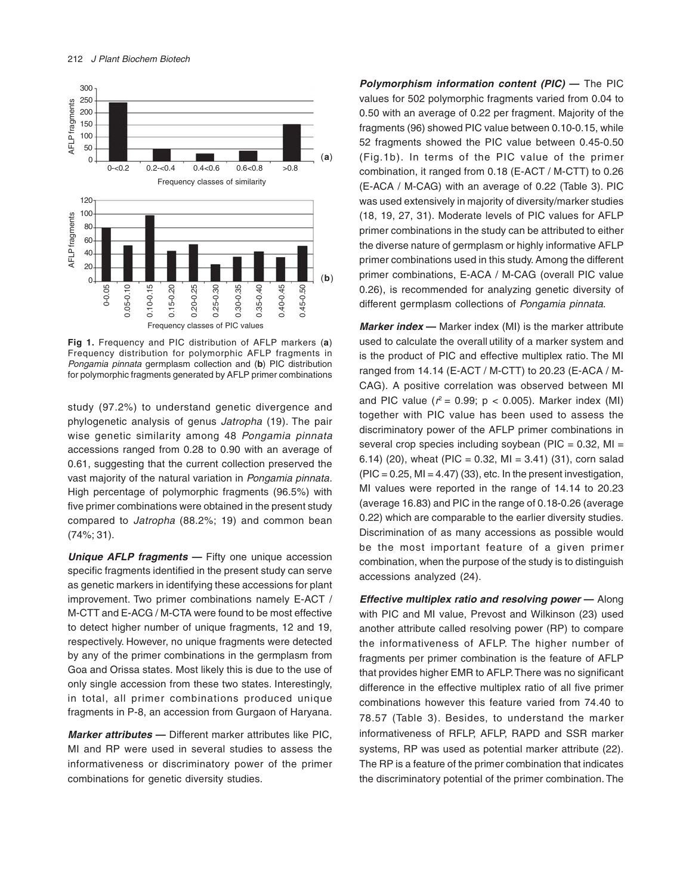

**Fig 1.** Frequency and PIC distribution of AFLP markers (**a**) Frequency distribution for polymorphic AFLP fragments in Pongamia pinnata germplasm collection and (**b**) PIC distribution for polymorphic fragments generated by AFLP primer combinations

study (97.2%) to understand genetic divergence and phylogenetic analysis of genus Jatropha (19). The pair wise genetic similarity among 48 Pongamia pinnata accessions ranged from 0.28 to 0.90 with an average of 0.61, suggesting that the current collection preserved the vast majority of the natural variation in Pongamia pinnata. High percentage of polymorphic fragments (96.5%) with five primer combinations were obtained in the present study compared to Jatropha (88.2%; 19) and common bean (74%; 31).

*Unique AFLP fragments —* Fifty one unique accession specific fragments identified in the present study can serve as genetic markers in identifying these accessions for plant improvement. Two primer combinations namely E-ACT / M-CTT and E-ACG / M-CTA were found to be most effective to detect higher number of unique fragments, 12 and 19, respectively. However, no unique fragments were detected by any of the primer combinations in the germplasm from Goa and Orissa states. Most likely this is due to the use of only single accession from these two states. Interestingly, in total, all primer combinations produced unique fragments in P-8, an accession from Gurgaon of Haryana.

*Marker attributes* **—** Different marker attributes like PIC, MI and RP were used in several studies to assess the informativeness or discriminatory power of the primer combinations for genetic diversity studies.

*Polymorphism information content (PIC)* **—** The PIC values for 502 polymorphic fragments varied from 0.04 to 0.50 with an average of 0.22 per fragment. Majority of the fragments (96) showed PIC value between 0.10-0.15, while 52 fragments showed the PIC value between 0.45-0.50 (Fig.1b). In terms of the PIC value of the primer combination, it ranged from 0.18 (E-ACT / M-CTT) to 0.26 (E-ACA / M-CAG) with an average of 0.22 (Table 3). PIC was used extensively in majority of diversity/marker studies (18, 19, 27, 31). Moderate levels of PIC values for AFLP primer combinations in the study can be attributed to either the diverse nature of germplasm or highly informative AFLP primer combinations used in this study. Among the different primer combinations, E-ACA / M-CAG (overall PIC value 0.26), is recommended for analyzing genetic diversity of different germplasm collections of Pongamia pinnata.

*Marker index* **—** Marker index (MI) is the marker attribute used to calculate the overall utility of a marker system and is the product of PIC and effective multiplex ratio. The MI ranged from 14.14 (E-ACT / M-CTT) to 20.23 (E-ACA / M-CAG). A positive correlation was observed between MI and PIC value ( $r^2$  = 0.99; p < 0.005). Marker index (MI) together with PIC value has been used to assess the discriminatory power of the AFLP primer combinations in several crop species including soybean (PIC =  $0.32$ , MI = 6.14) (20), wheat (PIC =  $0.32$ , MI =  $3.41$ ) (31), corn salad  $(PIC = 0.25, MI = 4.47)$  (33), etc. In the present investigation, MI values were reported in the range of 14.14 to 20.23 (average 16.83) and PIC in the range of 0.18-0.26 (average 0.22) which are comparable to the earlier diversity studies. Discrimination of as many accessions as possible would be the most important feature of a given primer combination, when the purpose of the study is to distinguish accessions analyzed (24).

*Effective multiplex ratio and resolving power – Along* with PIC and MI value, Prevost and Wilkinson (23) used another attribute called resolving power (RP) to compare the informativeness of AFLP. The higher number of fragments per primer combination is the feature of AFLP that provides higher EMR to AFLP. There was no significant difference in the effective multiplex ratio of all five primer combinations however this feature varied from 74.40 to 78.57 (Table 3). Besides, to understand the marker informativeness of RFLP, AFLP, RAPD and SSR marker systems, RP was used as potential marker attribute (22). The RP is a feature of the primer combination that indicates the discriminatory potential of the primer combination. The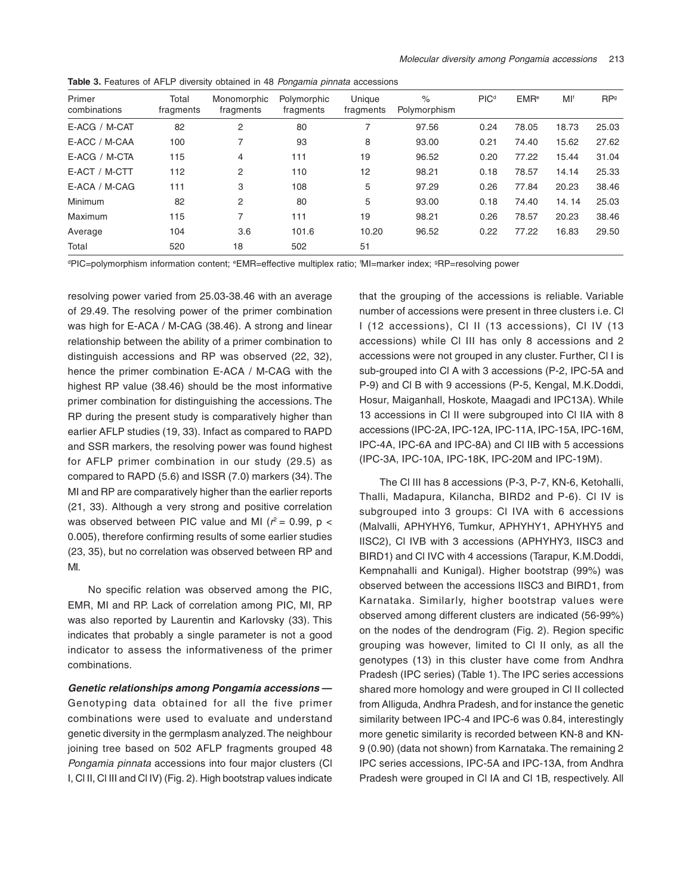| Primer<br>combinations | Total<br>fragments | Monomorphic<br>fragments | Polymorphic<br>fragments | Unique<br>fragments | $\%$<br>Polymorphism | PIC <sup>d</sup> | EMR <sup>e</sup> | MI <sup>f</sup> | <b>RP</b> <sup>9</sup> |
|------------------------|--------------------|--------------------------|--------------------------|---------------------|----------------------|------------------|------------------|-----------------|------------------------|
| E-ACG / M-CAT          | 82                 | 2                        | 80                       |                     | 97.56                | 0.24             | 78.05            | 18.73           | 25.03                  |
| E-ACC / M-CAA          | 100                | 7                        | 93                       | 8                   | 93.00                | 0.21             | 74.40            | 15.62           | 27.62                  |
| E-ACG / M-CTA          | 115                | 4                        | 111                      | 19                  | 96.52                | 0.20             | 77.22            | 15.44           | 31.04                  |
| E-ACT / M-CTT          | 112                | 2                        | 110                      | 12                  | 98.21                | 0.18             | 78.57            | 14.14           | 25.33                  |
| E-ACA / M-CAG          | 111                | 3                        | 108                      | 5                   | 97.29                | 0.26             | 77.84            | 20.23           | 38.46                  |
| Minimum                | 82                 | 2                        | 80                       | 5                   | 93.00                | 0.18             | 74.40            | 14.14           | 25.03                  |
| Maximum                | 115                | 7                        | 111                      | 19                  | 98.21                | 0.26             | 78.57            | 20.23           | 38.46                  |
| Average                | 104                | 3.6                      | 101.6                    | 10.20               | 96.52                | 0.22             | 77.22            | 16.83           | 29.50                  |
| Total                  | 520                | 18                       | 502                      | 51                  |                      |                  |                  |                 |                        |

<sup>d</sup>PIC=polymorphism information content; <sup>e</sup>EMR=effective multiplex ratio; 'MI=marker index; <sup>9</sup>RP=resolving power

resolving power varied from 25.03-38.46 with an average of 29.49. The resolving power of the primer combination was high for E-ACA / M-CAG (38.46). A strong and linear relationship between the ability of a primer combination to distinguish accessions and RP was observed (22, 32), hence the primer combination E-ACA / M-CAG with the highest RP value (38.46) should be the most informative primer combination for distinguishing the accessions. The RP during the present study is comparatively higher than earlier AFLP studies (19, 33). Infact as compared to RAPD and SSR markers, the resolving power was found highest for AFLP primer combination in our study (29.5) as compared to RAPD (5.6) and ISSR (7.0) markers (34). The MI and RP are comparatively higher than the earlier reports (21, 33). Although a very strong and positive correlation was observed between PIC value and MI ( $r^2$  = 0.99, p < 0.005), therefore confirming results of some earlier studies (23, 35), but no correlation was observed between RP and MI.

No specific relation was observed among the PIC, EMR, MI and RP. Lack of correlation among PIC, MI, RP was also reported by Laurentin and Karlovsky (33). This indicates that probably a single parameter is not a good indicator to assess the informativeness of the primer combinations.

*Genetic relationships among Pongamia accessions* **—** Genotyping data obtained for all the five primer combinations were used to evaluate and understand genetic diversity in the germplasm analyzed. The neighbour joining tree based on 502 AFLP fragments grouped 48 Pongamia pinnata accessions into four major clusters (Cl I, Cl II, Cl III and Cl IV) (Fig. 2). High bootstrap values indicate

that the grouping of the accessions is reliable. Variable number of accessions were present in three clusters i.e. Cl I (12 accessions), Cl II (13 accessions), Cl IV (13 accessions) while Cl III has only 8 accessions and 2 accessions were not grouped in any cluster. Further, Cl I is sub-grouped into Cl A with 3 accessions (P-2, IPC-5A and P-9) and Cl B with 9 accessions (P-5, Kengal, M.K.Doddi, Hosur, Maiganhall, Hoskote, Maagadi and IPC13A). While 13 accessions in Cl II were subgrouped into Cl IIA with 8 accessions (IPC-2A, IPC-12A, IPC-11A, IPC-15A, IPC-16M, IPC-4A, IPC-6A and IPC-8A) and Cl IIB with 5 accessions (IPC-3A, IPC-10A, IPC-18K, IPC-20M and IPC-19M).

The Cl III has 8 accessions (P-3, P-7, KN-6, Ketohalli, Thalli, Madapura, Kilancha, BIRD2 and P-6). Cl IV is subgrouped into 3 groups: Cl IVA with 6 accessions (Malvalli, APHYHY6, Tumkur, APHYHY1, APHYHY5 and IISC2), Cl IVB with 3 accessions (APHYHY3, IISC3 and BIRD1) and Cl IVC with 4 accessions (Tarapur, K.M.Doddi, Kempnahalli and Kunigal). Higher bootstrap (99%) was observed between the accessions IISC3 and BIRD1, from Karnataka. Similarly, higher bootstrap values were observed among different clusters are indicated (56-99%) on the nodes of the dendrogram (Fig. 2). Region specific grouping was however, limited to Cl II only, as all the genotypes (13) in this cluster have come from Andhra Pradesh (IPC series) (Table 1). The IPC series accessions shared more homology and were grouped in Cl II collected from Alliguda, Andhra Pradesh, and for instance the genetic similarity between IPC-4 and IPC-6 was 0.84, interestingly more genetic similarity is recorded between KN-8 and KN-9 (0.90) (data not shown) from Karnataka. The remaining 2 IPC series accessions, IPC-5A and IPC-13A, from Andhra Pradesh were grouped in Cl IA and Cl 1B, respectively. All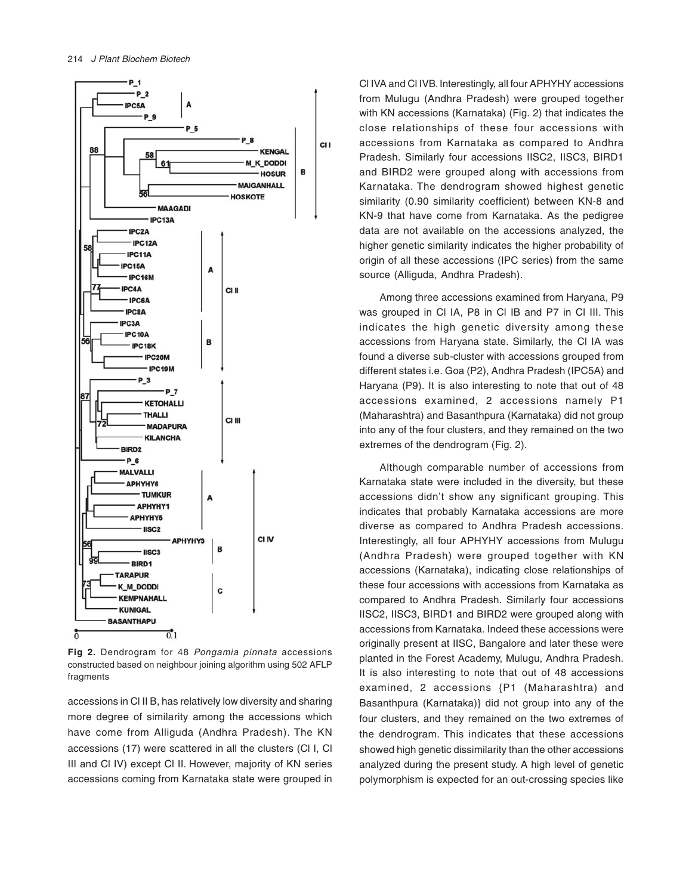

**Fig 2.** Dendrogram for 48 Pongamia pinnata accessions constructed based on neighbour joining algorithm using 502 AFLP fragments

accessions in Cl II B, has relatively low diversity and sharing more degree of similarity among the accessions which have come from Alliguda (Andhra Pradesh). The KN accessions (17) were scattered in all the clusters (Cl I, Cl III and Cl IV) except Cl II. However, majority of KN series accessions coming from Karnataka state were grouped in Cl IVA and Cl IVB. Interestingly, all four APHYHY accessions from Mulugu (Andhra Pradesh) were grouped together with KN accessions (Karnataka) (Fig. 2) that indicates the close relationships of these four accessions with accessions from Karnataka as compared to Andhra Pradesh. Similarly four accessions IISC2, IISC3, BIRD1 and BIRD2 were grouped along with accessions from Karnataka. The dendrogram showed highest genetic similarity (0.90 similarity coefficient) between KN-8 and KN-9 that have come from Karnataka. As the pedigree data are not available on the accessions analyzed, the higher genetic similarity indicates the higher probability of origin of all these accessions (IPC series) from the same source (Alliguda, Andhra Pradesh).

Among three accessions examined from Haryana, P9 was grouped in Cl IA, P8 in Cl IB and P7 in Cl III. This indicates the high genetic diversity among these accessions from Haryana state. Similarly, the Cl IA was found a diverse sub-cluster with accessions grouped from different states i.e. Goa (P2), Andhra Pradesh (IPC5A) and Haryana (P9). It is also interesting to note that out of 48 accessions examined, 2 accessions namely P1 (Maharashtra) and Basanthpura (Karnataka) did not group into any of the four clusters, and they remained on the two extremes of the dendrogram (Fig. 2).

Although comparable number of accessions from Karnataka state were included in the diversity, but these accessions didn't show any significant grouping. This indicates that probably Karnataka accessions are more diverse as compared to Andhra Pradesh accessions. Interestingly, all four APHYHY accessions from Mulugu (Andhra Pradesh) were grouped together with KN accessions (Karnataka), indicating close relationships of these four accessions with accessions from Karnataka as compared to Andhra Pradesh. Similarly four accessions IISC2, IISC3, BIRD1 and BIRD2 were grouped along with accessions from Karnataka. Indeed these accessions were originally present at IISC, Bangalore and later these were planted in the Forest Academy, Mulugu, Andhra Pradesh. It is also interesting to note that out of 48 accessions examined, 2 accessions {P1 (Maharashtra) and Basanthpura (Karnataka)} did not group into any of the four clusters, and they remained on the two extremes of the dendrogram. This indicates that these accessions showed high genetic dissimilarity than the other accessions analyzed during the present study. A high level of genetic polymorphism is expected for an out-crossing species like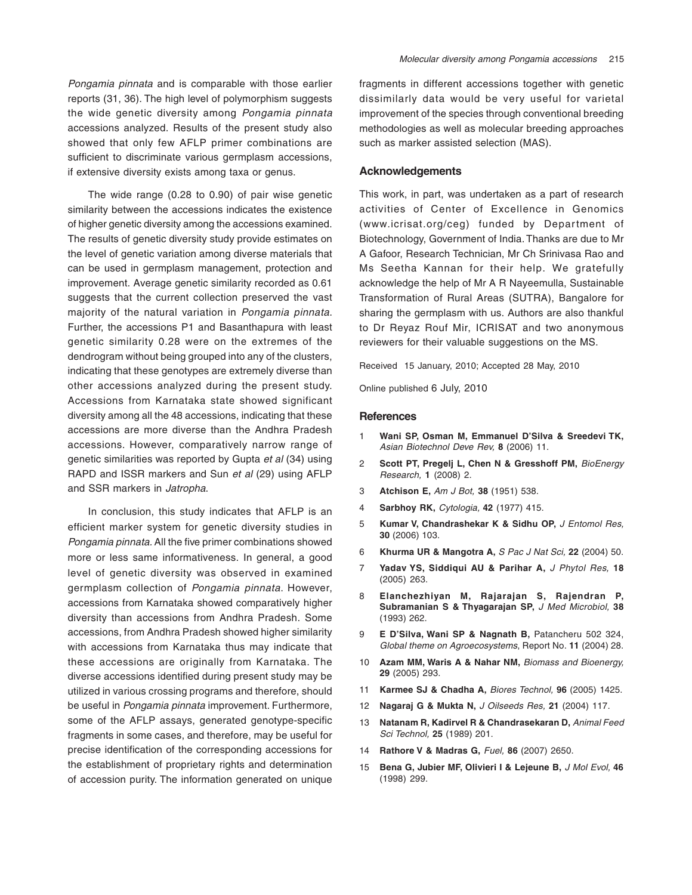Pongamia pinnata and is comparable with those earlier reports (31, 36). The high level of polymorphism suggests the wide genetic diversity among Pongamia pinnata accessions analyzed. Results of the present study also showed that only few AFLP primer combinations are sufficient to discriminate various germplasm accessions, if extensive diversity exists among taxa or genus.

The wide range (0.28 to 0.90) of pair wise genetic similarity between the accessions indicates the existence of higher genetic diversity among the accessions examined. The results of genetic diversity study provide estimates on the level of genetic variation among diverse materials that can be used in germplasm management, protection and improvement. Average genetic similarity recorded as 0.61 suggests that the current collection preserved the vast majority of the natural variation in Pongamia pinnata. Further, the accessions P1 and Basanthapura with least genetic similarity 0.28 were on the extremes of the dendrogram without being grouped into any of the clusters, indicating that these genotypes are extremely diverse than other accessions analyzed during the present study. Accessions from Karnataka state showed significant diversity among all the 48 accessions, indicating that these accessions are more diverse than the Andhra Pradesh accessions. However, comparatively narrow range of genetic similarities was reported by Gupta et al (34) using RAPD and ISSR markers and Sun et al (29) using AFLP and SSR markers in Jatropha.

In conclusion, this study indicates that AFLP is an efficient marker system for genetic diversity studies in Pongamia pinnata. All the five primer combinations showed more or less same informativeness. In general, a good level of genetic diversity was observed in examined germplasm collection of Pongamia pinnata. However, accessions from Karnataka showed comparatively higher diversity than accessions from Andhra Pradesh. Some accessions, from Andhra Pradesh showed higher similarity with accessions from Karnataka thus may indicate that these accessions are originally from Karnataka. The diverse accessions identified during present study may be utilized in various crossing programs and therefore, should be useful in Pongamia pinnata improvement. Furthermore, some of the AFLP assays, generated genotype-specific fragments in some cases, and therefore, may be useful for precise identification of the corresponding accessions for the establishment of proprietary rights and determination of accession purity. The information generated on unique

fragments in different accessions together with genetic dissimilarly data would be very useful for varietal improvement of the species through conventional breeding methodologies as well as molecular breeding approaches such as marker assisted selection (MAS).

#### **Acknowledgements**

This work, in part, was undertaken as a part of research activities of Center of Excellence in Genomics (www.icrisat.org/ceg) funded by Department of Biotechnology, Government of India. Thanks are due to Mr A Gafoor, Research Technician, Mr Ch Srinivasa Rao and Ms Seetha Kannan for their help. We gratefully acknowledge the help of Mr A R Nayeemulla, Sustainable Transformation of Rural Areas (SUTRA), Bangalore for sharing the germplasm with us. Authors are also thankful to Dr Reyaz Rouf Mir, ICRISAT and two anonymous reviewers for their valuable suggestions on the MS.

Received 15 January, 2010; Accepted 28 May, 2010

Online published 6 July, 2010

# **References**

- 1 **Wani SP, Osman M, Emmanuel D'Silva & Sreedevi TK,** Asian Biotechnol Deve Rev, **8** (2006) 11.
- 2 **Scott PT, Pregelj L, Chen N & Gresshoff PM,** BioEnergy Research, **1** (2008) 2.
- 3 **Atchison E,** Am J Bot, **38** (1951) 538.
- 4 **Sarbhoy RK,** Cytologia, **42** (1977) 415.
- 5 **Kumar V, Chandrashekar K & Sidhu OP,** J Entomol Res, **30** (2006) 103.
- 6 **Khurma UR & Mangotra A,** S Pac J Nat Sci, **22** (2004) 50.
- 7 **Yadav YS, Siddiqui AU & Parihar A,** J Phytol Res, **18** (2005) 263.
- 8 **Elanchezhiyan M, Rajarajan S, Rajendran P, Subramanian S & Thyagarajan SP,** J Med Microbiol, **38** (1993) 262.
- 9 **E D'Silva, Wani SP & Nagnath B,** Patancheru 502 324, Global theme on Agroecosystems, Report No. **11** (2004) 28.
- 10 **Azam MM, Waris A & Nahar NM,** Biomass and Bioenergy, **29** (2005) 293.
- 11 **Karmee SJ & Chadha A,** Biores Technol, **96** (2005) 1425.
- 12 **Nagaraj G & Mukta N,** J Oilseeds Res, **21** (2004) 117.
- 13 **Natanam R, Kadirvel R & Chandrasekaran D,** Animal Feed Sci Technol, **25** (1989) 201.
- 14 **Rathore V & Madras G,** Fuel, **86** (2007) 2650.
- 15 **Bena G, Jubier MF, Olivieri I & Lejeune B,** J Mol Evol, **46** (1998) 299.